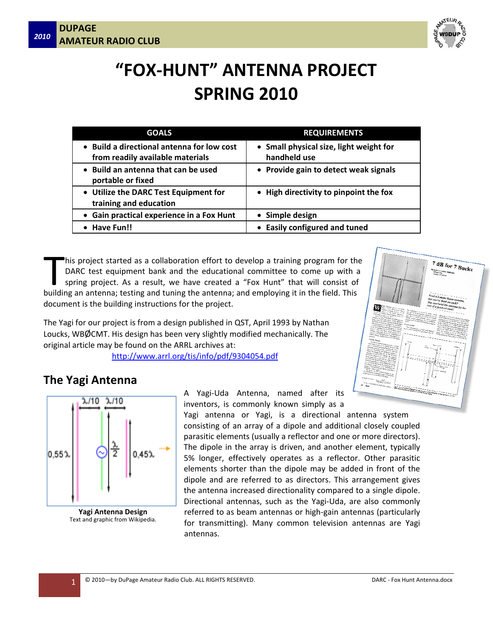

# **"FOX‐HUNT" ANTENNA PROJECT SPRING 2010**

| <b>GOALS</b>                                                                 | <b>REQUIREMENTS</b>                                     |
|------------------------------------------------------------------------------|---------------------------------------------------------|
| Build a directional antenna for low cost<br>from readily available materials | • Small physical size, light weight for<br>handheld use |
| Build an antenna that can be used<br>portable or fixed                       | • Provide gain to detect weak signals                   |
| • Utilize the DARC Test Equipment for<br>training and education              | • High directivity to pinpoint the fox                  |
| • Gain practical experience in a Fox Hunt                                    | • Simple design                                         |
| Have Fun!!                                                                   | • Easily configured and tuned                           |

his project started as a collaboration effort to develop a training program for the DARC test equipment bank and the educational committee to come up with a spring project. As a result, we have created a "Fox Hunt" that will consist of his project started as a collaboration effort to develop a training program for th<br>
DARC test equipment bank and the educational committee to come up with<br>
spring project. As a result, we have created a "Fox Hunt" that wil document is the building instructions for the project.

The Yagi for our project is from a design published in QST, April 1993 by Nathan Loucks, WBØCMT. His design has been very slightly modified mechanically. The original article may be found on the ARRL archives at:

http://www.arrl.org/tis/info/pdf/9304054.pdf



### **The Yagi Antenna**



**Yagi Antenna Design** Text and graphic from Wikipedia.

A Yagi‐Uda Antenna, named after its inventors, is commonly known simply as a

Yagi antenna or Yagi, is a directional antenna system consisting of an array of a dipole and additional closely coupled parasitic elements (usually a reflector and one or more directors). The dipole in the array is driven, and another element, typically 5% longer, effectively operates as a reflector. Other parasitic elements shorter than the dipole may be added in front of the dipole and are referred to as directors. This arrangement gives the antenna increased directionality compared to a single dipole. Directional antennas, such as the Yagi‐Uda, are also commonly referred to as beam antennas or high‐gain antennas (particularly for transmitting). Many common television antennas are Yagi antennas.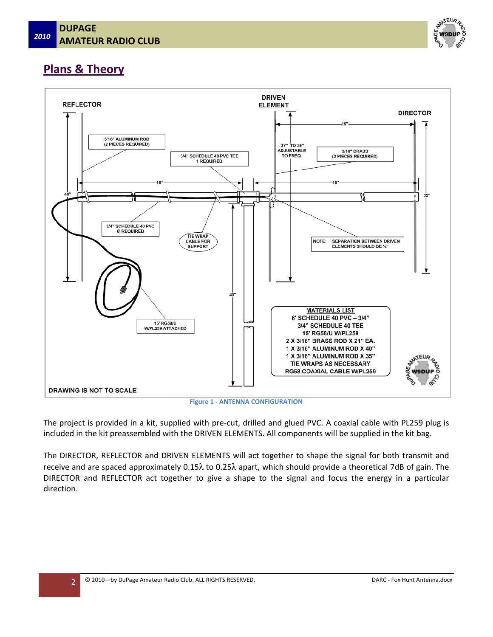

## **Plans & Theory**



**Figure 1 ‐ ANTENNA CONFIGURATION**

The project is provided in a kit, supplied with pre-cut, drilled and glued PVC. A coaxial cable with PL259 plug is included in the kit preassembled with the DRIVEN ELEMENTS. All components will be supplied in the kit bag.

The DIRECTOR, REFLECTOR and DRIVEN ELEMENTS will act together to shape the signal for both transmit and receive and are spaced approximately  $0.15\lambda$  to  $0.25\lambda$  apart, which should provide a theoretical 7dB of gain. The DIRECTOR and REFLECTOR act together to give a shape to the signal and focus the energy in a particular direction.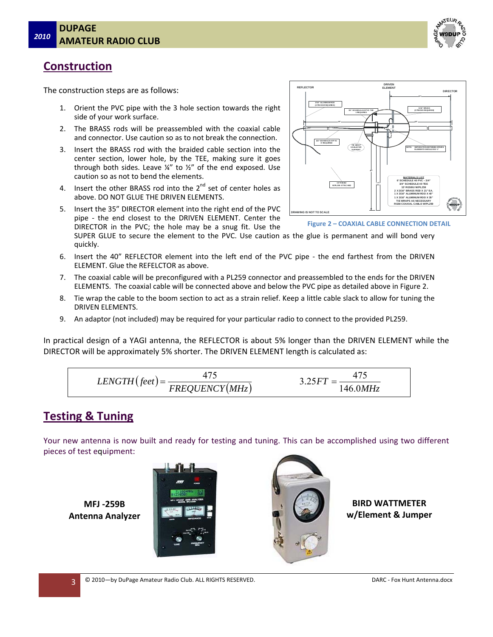

**DIRECTOR**

**16"**

**MATERIALS LIST 6' SCHEDULE 40 PVC – 3/4" 3/4" SCHEDULE 40 TEE 15' RG58/U W/PL259 2 X 3/16" BRASS ROD X 21" EA. 1 X 3/16" ALUMINUM ROD X 40" 1 X 3/16" ALUMINUM ROD X 35" TIE WRAPS AS NECESSARY RG58 COAXIAL CABLE W/PL259**

**3/16" BRASS (2 PIECES REQU IRED)**

**NOTE: SEPARATION BETWEEN DRIVEN ELEMENTS SHOULD BE ¼"**

## **Construction**

The construction steps are as follows:

- 1. Orient the PVC pipe with the 3 hole section towards the right side of your work surface.
- 2. The BRASS rods will be preassembled with the coaxial cable and connector. Use caution so as to not break the connection.
- 3. Insert the BRASS rod with the braided cable section into the center section, lower hole, by the TEE, making sure it goes through both sides. Leave  $\frac{1}{4}$ " to  $\frac{1}{2}$ " of the end exposed. Use caution so as not to bend the elements.
- 4. Insert the other BRASS rod into the  $2^{nd}$  set of center holes as above. DO NOT GLUE THE DRIVEN ELEMENTS.
- 5. Insert the 35" DIRECTOR element into the right end of the PVC pipe - the end closest to the DRIVEN ELEMENT. Center the DIRECTOR in the PVC; the hole may be a snug fit. Use the

SUPER GLUE to secure the element to the PVC. Use caution as the glue is permanent and will bond very quickly.

- 6. Insert the 40" REFLECTOR element into the left end of the PVC pipe the end farthest from the DRIVEN ELEMENT. Glue the REFELCTOR as above.
- 7. The coaxial cable will be preconfigured with a PL259 connector and preassembled to the ends for the DRIVEN ELEMENTS. The coaxial cable will be connected above and below the PVC pipe as detailed above in Figure 2.
- 8. Tie wrap the cable to the boom section to act as a strain relief. Keep a little cable slack to allow for tuning the DRIVEN ELEMENTS.
- 9. An adaptor (not included) may be required for your particular radio to connect to the provided PL259.

In practical design of a YAGI antenna, the REFLECTOR is about 5% longer than the DRIVEN ELEMENT while the DIRECTOR will be approximately 5% shorter. The DRIVEN ELEMENT length is calculated as:

$$
LENGTH\big( feet\big) = \frac{475}{FREQUENCY(MHz)} \qquad \qquad 3.25FT = \frac{475}{146.0MHz}
$$

#### **Testing & Tuning**

Your new antenna is now built and ready for testing and tuning. This can be accomplished using two different pieces of test equipment:

**MFJ ‐259B Antenna Analyzer**





**BIRD WATTMETER w/Element & Jumper**

**Figure 2 – COAXIAL CABLE CONNECTION DETAIL**

**40 "**

**18" 18"**

**DRIVEN ELEMENT**

**3/4 " SCHEDULE 40 PVC TEE 1 REQUI RED**

**TIE WRA P CA BLE FOR SUPPORT**

**3/4" SCH EDULE 4 0 P VC 6' REQUIRED**

**G** IS NOT TO SC

**15' RG5 8/U W/PL2 59 ATTAC HED**

**3/ 16" ALU MINUM ROD (2 PIECES R EQ UIRED)**

**REFLECTOR**